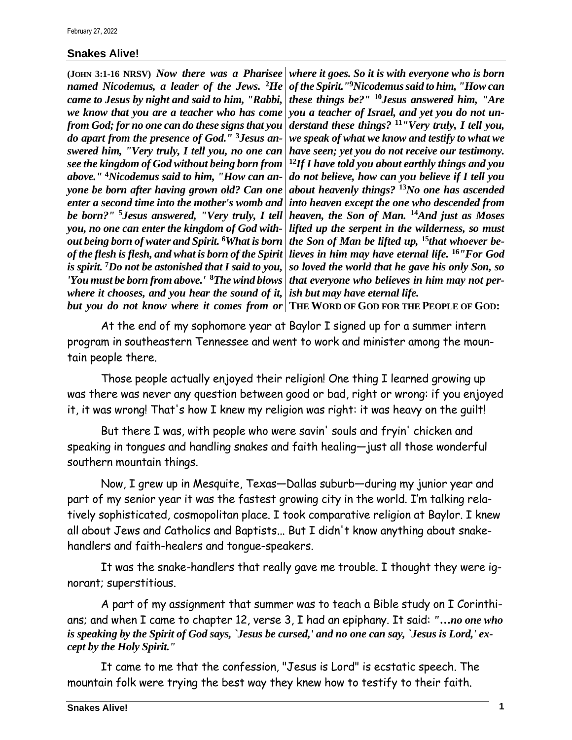## **Snakes Alive!**

**(JOHN 3:1-16 NRSV)** *Now there was a Pharisee named Nicodemus, a leader of the Jews.* **<sup>2</sup>***He came to Jesus by night and said to him, "Rabbi, we know that you are a teacher who has come from God; for no one can do these signs that you do apart from the presence of God."* **3***Jesus answered him, "Very truly, I tell you, no one can see the kingdom of God without being born from above."* **<sup>4</sup>***Nicodemus said to him, "How can anyone be born after having grown old? Can one enter a second time into the mother's womb and be born?"* **<sup>5</sup>***Jesus answered, "Very truly, I tell you, no one can enter the kingdom of God without being born of water and Spirit.* **<sup>6</sup>***What is born of the flesh is flesh, and what is born of the Spirit is spirit.* **<sup>7</sup>***Do not be astonished that I said to you, 'You must be born from above.'* **<sup>8</sup>***The wind blows where it chooses, and you hear the sound of it,* 

*where it goes. So it is with everyone who is born of the Spirit."***<sup>9</sup>***Nicodemus said to him, "How can these things be?"* **<sup>10</sup>***Jesus answered him, "Are you a teacher of Israel, and yet you do not understand these things?* **<sup>11</sup>***"Very truly, I tell you, we speak of what we know and testify to what we have seen; yet you do not receive our testimony.*  **<sup>12</sup>***If I have told you about earthly things and you do not believe, how can you believe if I tell you about heavenly things?* **<sup>13</sup>***No one has ascended into heaven except the one who descended from heaven, the Son of Man.* **<sup>14</sup>***And just as Moses lifted up the serpent in the wilderness, so must the Son of Man be lifted up,* **15***that whoever believes in him may have eternal life.* **<sup>16</sup>***"For God so loved the world that he gave his only Son, so that everyone who believes in him may not perish but may have eternal life.*

*but you do not know where it comes from or* **THE WORD OF GOD FOR THE PEOPLE OF GOD:**

At the end of my sophomore year at Baylor I signed up for a summer intern program in southeastern Tennessee and went to work and minister among the mountain people there.

Those people actually enjoyed their religion! One thing I learned growing up was there was never any question between good or bad, right or wrong: if you enjoyed it, it was wrong! That's how I knew my religion was right: it was heavy on the guilt!

But there I was, with people who were savin' souls and fryin' chicken and speaking in tongues and handling snakes and faith healing—just all those wonderful southern mountain things.

Now, I grew up in Mesquite, Texas—Dallas suburb—during my junior year and part of my senior year it was the fastest growing city in the world. I'm talking relatively sophisticated, cosmopolitan place. I took comparative religion at Baylor. I knew all about Jews and Catholics and Baptists... But I didn't know anything about snakehandlers and faith-healers and tongue-speakers.

It was the snake-handlers that really gave me trouble. I thought they were ignorant; superstitious.

A part of my assignment that summer was to teach a Bible study on I Corinthians; and when I came to chapter 12, verse 3, I had an epiphany. It said: *"…no one who is speaking by the Spirit of God says, `Jesus be cursed,' and no one can say, `Jesus is Lord,' except by the Holy Spirit."*

It came to me that the confession, "Jesus is Lord" is ecstatic speech. The mountain folk were trying the best way they knew how to testify to their faith.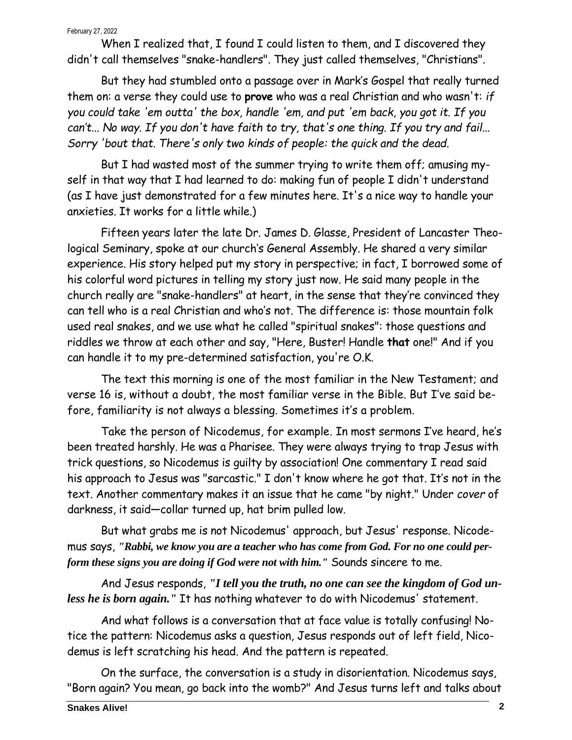## February 27, 2022

When I realized that, I found I could listen to them, and I discovered they didn't call themselves "snake-handlers". They just called themselves, "Christians".

But they had stumbled onto a passage over in Mark's Gospel that really turned them on: a verse they could use to **prove** who was a real Christian and who wasn't: *if you could take 'em outta' the box, handle 'em, and put 'em back, you got it. If you can't... No way. If you don't have faith to try, that's one thing. If you try and fail... Sorry 'bout that. There's only two kinds of people: the quick and the dead.*

But I had wasted most of the summer trying to write them off; amusing myself in that way that I had learned to do: making fun of people I didn't understand (as I have just demonstrated for a few minutes here. It's a nice way to handle your anxieties. It works for a little while.)

Fifteen years later the late Dr. James D. Glasse, President of Lancaster Theological Seminary, spoke at our church's General Assembly. He shared a very similar experience. His story helped put my story in perspective; in fact, I borrowed some of his colorful word pictures in telling my story just now. He said many people in the church really are "snake-handlers" at heart, in the sense that they're convinced they can tell who is a real Christian and who's not. The difference is: those mountain folk used real snakes, and we use what he called "spiritual snakes": those questions and riddles we throw at each other and say, "Here, Buster! Handle **that** one!" And if you can handle it to my pre-determined satisfaction, you're O.K.

The text this morning is one of the most familiar in the New Testament; and verse 16 is, without a doubt, the most familiar verse in the Bible. But I've said before, familiarity is not always a blessing. Sometimes it's a problem.

Take the person of Nicodemus, for example. In most sermons I've heard, he's been treated harshly. He was a Pharisee. They were always trying to trap Jesus with trick questions, so Nicodemus is guilty by association! One commentary I read said his approach to Jesus was "sarcastic." I don't know where he got that. It's not in the text. Another commentary makes it an issue that he came "by night." Under *cover* of darkness, it said—collar turned up, hat brim pulled low.

But what grabs me is not Nicodemus' approach, but Jesus' response. Nicodemus says, *"Rabbi, we know you are a teacher who has come from God. For no one could perform these signs you are doing if God were not with him."* Sounds sincere to me.

And Jesus responds, *"I tell you the truth, no one can see the kingdom of God unless he is born again."* It has nothing whatever to do with Nicodemus' statement.

And what follows is a conversation that at face value is totally confusing! Notice the pattern: Nicodemus asks a question, Jesus responds out of left field, Nicodemus is left scratching his head. And the pattern is repeated.

On the surface, the conversation is a study in disorientation. Nicodemus says, "Born again? You mean, go back into the womb?" And Jesus turns left and talks about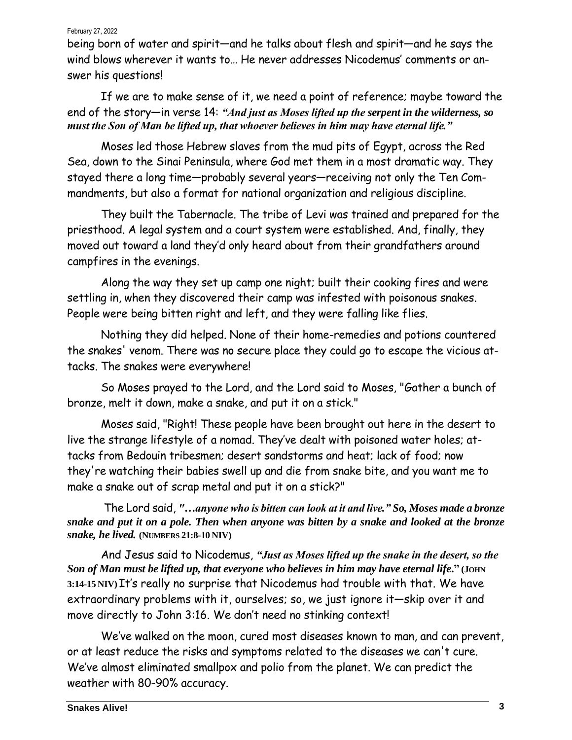## February 27, 2022

being born of water and spirit—and he talks about flesh and spirit—and he says the wind blows wherever it wants to… He never addresses Nicodemus' comments or answer his questions!

If we are to make sense of it, we need a point of reference; maybe toward the end of the story—in verse 14: *"And just as Moses lifted up the serpent in the wilderness, so must the Son of Man be lifted up, that whoever believes in him may have eternal life."*

Moses led those Hebrew slaves from the mud pits of Egypt, across the Red Sea, down to the Sinai Peninsula, where God met them in a most dramatic way. They stayed there a long time—probably several years—receiving not only the Ten Commandments, but also a format for national organization and religious discipline.

They built the Tabernacle. The tribe of Levi was trained and prepared for the priesthood. A legal system and a court system were established. And, finally, they moved out toward a land they'd only heard about from their grandfathers around campfires in the evenings.

Along the way they set up camp one night; built their cooking fires and were settling in, when they discovered their camp was infested with poisonous snakes. People were being bitten right and left, and they were falling like flies.

Nothing they did helped. None of their home-remedies and potions countered the snakes' venom. There was no secure place they could go to escape the vicious attacks. The snakes were everywhere!

So Moses prayed to the Lord, and the Lord said to Moses, "Gather a bunch of bronze, melt it down, make a snake, and put it on a stick."

Moses said, "Right! These people have been brought out here in the desert to live the strange lifestyle of a nomad. They've dealt with poisoned water holes; attacks from Bedouin tribesmen; desert sandstorms and heat; lack of food; now they're watching their babies swell up and die from snake bite, and you want me to make a snake out of scrap metal and put it on a stick?"

The Lord said, *"…anyone who is bitten can look at it and live." So, Moses made a bronze snake and put it on a pole. Then when anyone was bitten by a snake and looked at the bronze snake, he lived.* **(NUMBERS 21:8-10 NIV)**

And Jesus said to Nicodemus, *"Just as Moses lifted up the snake in the desert, so the Son of Man must be lifted up, that everyone who believes in him may have eternal life***." (JOHN 3:14-15 NIV)** It's really no surprise that Nicodemus had trouble with that. We have extraordinary problems with it, ourselves; so, we just ignore it—skip over it and move directly to John 3:16. We don't need no stinking context!

We've walked on the moon, cured most diseases known to man, and can prevent, or at least reduce the risks and symptoms related to the diseases we can't cure. We've almost eliminated smallpox and polio from the planet. We can predict the weather with 80-90% accuracy.